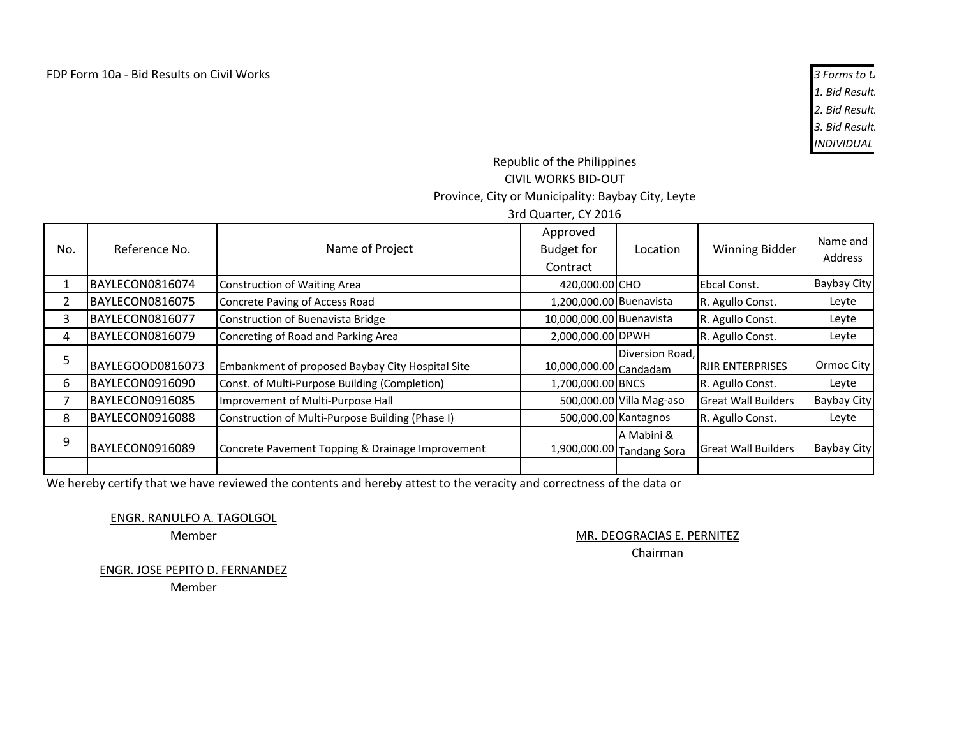1. Bid Result. **2. Bid Results 3. Bid Result** *INDIVIDUAL BID-OUTS ARE NOT ALLOWED*

## Republic of the Philippines CIVIL WORKS BID-OUT Province, City or Municipality: Baybay City, Leyte 3rd Quarter, CY 2016

|     |                  |                                                  | or a Quarter, cr zo ±u                    |                                         |                            |                     |
|-----|------------------|--------------------------------------------------|-------------------------------------------|-----------------------------------------|----------------------------|---------------------|
| No. | Reference No.    | Name of Project                                  | Approved<br><b>Budget for</b><br>Contract | Location                                | Winning Bidder             | Name and<br>Address |
|     | IBAYLECON0816074 | <b>Construction of Waiting Area</b>              | 420,000.00 CHO                            |                                         | Ebcal Const.               | <b>Baybay City</b>  |
| 2   | BAYLECON0816075  | Concrete Paving of Access Road                   | 1,200,000.00 Buenavista                   |                                         | R. Agullo Const.           | Leyte               |
| 3   | BAYLECON0816077  | Construction of Buenavista Bridge                | 10,000,000.00 Buenavista                  |                                         | R. Agullo Const.           | Leyte               |
| 4   | BAYLECON0816079  | Concreting of Road and Parking Area              | 2,000,000.00 DPWH                         |                                         | R. Agullo Const.           | Leyte               |
| 5   | BAYLEGOOD0816073 | Embankment of proposed Baybay City Hospital Site | 10,000,000.00 Candadam                    | Diversion Road,                         | <b>IRJIR ENTERPRISES</b>   | Ormoc City          |
| 6   | BAYLECON0916090  | Const. of Multi-Purpose Building (Completion)    | 1,700,000.00 BNCS                         |                                         | R. Agullo Const.           | Leyte               |
| 7   | BAYLECON0916085  | Improvement of Multi-Purpose Hall                |                                           | 500,000.00 Villa Mag-aso                | <b>Great Wall Builders</b> | <b>Baybay City</b>  |
| 8   | BAYLECON0916088  | Construction of Multi-Purpose Building (Phase I) | 500,000.00 Kantagnos                      |                                         | R. Agullo Const.           | Leyte               |
| 9   | BAYLECON0916089  | Concrete Pavement Topping & Drainage Improvement |                                           | A Mabini &<br>1,900,000.00 Tandang Sora | <b>Great Wall Builders</b> | <b>Baybay City</b>  |
|     |                  |                                                  |                                           |                                         |                            |                     |

We hereby certify that we have reviewed the contents and hereby attest to the veracity and correctness of the data or

ENGR. RANULFO A. TAGOLGOL

Member

MR. DEOGRACIAS E. PERNITEZ

Chairman

ENGR. JOSE PEPITO D. FERNANDEZ

Member